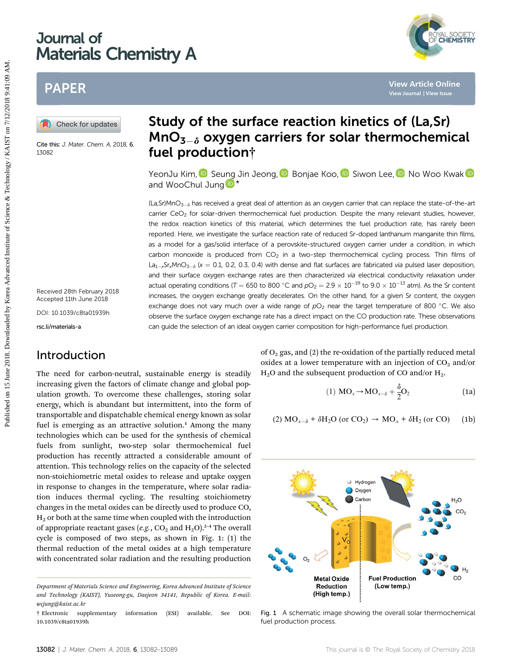## Journal of Materials Chemistry A

### PAPER

Cite this: J. Mater. Chem. A, 2018, 6, 13082

Received 28th February 2018 Accepted 11th June 2018

DOI: 10.1039/c8ta01939h

rsc.li/materials-a

### Introduction

The need for carbon-neutral, sustainable energy is steadily increasing given the factors of climate change and global population growth. To overcome these challenges, storing solar energy, which is abundant but intermittent, into the form of transportable and dispatchable chemical energy known as solar fuel is emerging as an attractive solution.<sup>1</sup> Among the many technologies which can be used for the synthesis of chemical fuels from sunlight, two-step solar thermochemical fuel production has recently attracted a considerable amount of attention. This technology relies on the capacity of the selected non-stoichiometric metal oxides to release and uptake oxygen in response to changes in the temperature, where solar radiation induces thermal cycling. The resulting stoichiometry changes in the metal oxides can be directly used to produce CO,  $H<sub>2</sub>$  or both at the same time when coupled with the introduction of appropriate reactant gases (e.g.,  $CO_2$  and  $H_2O$ ).<sup>2-4</sup> The overall cycle is composed of two steps, as shown in Fig. 1: (1) the thermal reduction of the metal oxides at a high temperature with concentrated solar radiation and the resulting production

# Study of the surface reaction kinetics of (La,Sr)  $MnO<sub>3-\delta</sub>$  oxygen carriers for solar thermochemical fuel production†

YeonJu Kim[,](http://orcid.org/0000-0003-1445-8795) **D** Se[ung](http://orcid.org/0000-0001-5266-3795) Jin Jeong, **D** Bonjae Koo, **D** Siwon Lee, **D** No Woo Kwak **D** and WooChul Jung

 $(La, Sr)$ MnO<sub>3- $\delta$ </sub> has received a great deal of attention as an oxygen carrier that can replace the state-of-the-art carrier CeO<sub>2</sub> for solar-driven thermochemical fuel production. Despite the many relevant studies, however, the redox reaction kinetics of this material, which determines the fuel production rate, has rarely been reported. Here, we investigate the surface reaction rate of reduced Sr-doped lanthanum manganite thin films, as a model for a gas/solid interface of a perovskite-structured oxygen carrier under a condition, in which carbon monoxide is produced from  $CO<sub>2</sub>$  in a two-step thermochemical cycling process. Thin films of  $La_{1-x}Sr_xMnO_{3-\delta}$  (x = 0.1, 0.2, 0.3, 0.4) with dense and flat surfaces are fabricated via pulsed laser deposition, and their surface oxygen exchange rates are then characterized via electrical conductivity relaxation under actual operating conditions (T = 650 to 800 °C and  $pO<sub>2</sub>$  = 2.9  $\times$  10<sup>-19</sup> to 9.0  $\times$  10<sup>-13</sup> atm). As the Sr content increases, the oxygen exchange greatly decelerates. On the other hand, for a given Sr content, the oxygen exchange does not vary much over a wide range of  $pO<sub>2</sub>$  near the target temperature of 800 °C. We also observe the surface oxygen exchange rate has a direct impact on the CO production rate. These observations can guide the selection of an ideal oxygen carrier composition for high-performance fuel production. **PUBLISHERE STRANGE ON 15 JUNE 2018. Study of the surface reaction kinetics of (La, Sr)**<br> **Study of the surface reaction kinetics of (La, Sr)**<br> **Study of the surface reaction kinetics of (La, Sr)**<br>  $\frac{1}{2}$  and Woochu

of  $O<sub>2</sub>$  gas, and (2) the re-oxidation of the partially reduced metal oxides at a lower temperature with an injection of  $CO<sub>2</sub>$  and/or  $H<sub>2</sub>O$  and the subsequent production of CO and/or  $H<sub>2</sub>$ .

(1) 
$$
MO_x \rightarrow MO_{x-\delta} + \frac{\delta}{2}O_2
$$
 (1a)

(2) 
$$
MO_{x-\delta} + \delta H_2O
$$
 (or  $CO_2$ )  $\rightarrow MO_x + \delta H_2$  (or  $CO$ ) (1b)



Fig. 1 A schematic image showing the overall solar thermochemical fuel production process.

Department of Materials Science and Engineering, Korea Advanced Institute of Science and Technology (KAIST), Yuseong-gu, Daejeon 34141, Republic of Korea. E-mail: wcjung@kaist.ac.kr

<sup>†</sup> Electronic supplementary information (ESI) available. See DOI: 10.1039/c8ta01939h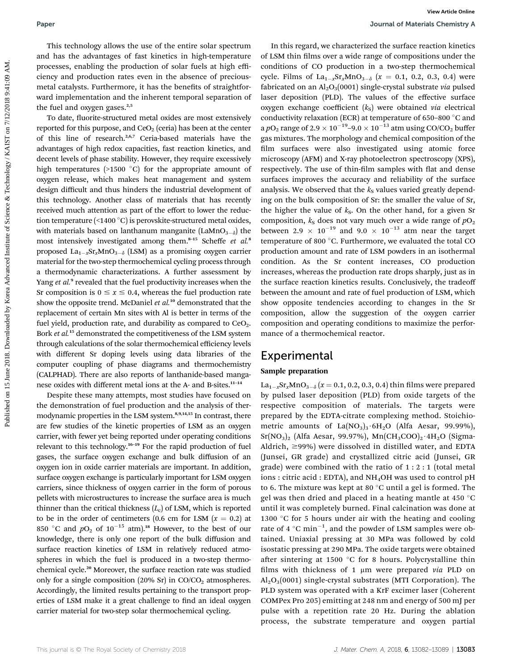To date, fluorite-structured metal oxides are most extensively reported for this purpose, and  $CeO<sub>2</sub>$  (ceria) has been at the center of this line of research.2,6,7 Ceria-based materials have the advantages of high redox capacities, fast reaction kinetics, and decent levels of phase stability. However, they require excessively high temperatures ( $>1500$  °C) for the appropriate amount of oxygen release, which makes heat management and system design difficult and thus hinders the industrial development of this technology. Another class of materials that has recently received much attention as part of the effort to lower the reduction temperature  $(\leq 1400 \degree C)$  is perovskite-structured metal oxides, with materials based on lanthanum manganite (LaMnO<sub>3- $\delta$ </sub>) the most intensively investigated among them.<sup>8-15</sup> Scheffe et al.<sup>8</sup> proposed  $La_{1-x}Sr_xMnO_{3-\delta}$  (LSM) as a promising oxygen carrier material for the two-step thermochemical cycling process through a thermodynamic characterizations. A further assessment by Yang et al.<sup>9</sup> revealed that the fuel productivity increases when the Sr composition is  $0 \le x \le 0.4$ , whereas the fuel production rate show the opposite trend. McDaniel et al.<sup>10</sup> demonstrated that the replacement of certain Mn sites with Al is better in terms of the fuel yield, production rate, and durability as compared to  $CeO<sub>2</sub>$ . Bork et al.<sup>15</sup> demonstrated the competitiveness of the LSM system through calculations of the solar thermochemical efficiency levels with different Sr doping levels using data libraries of the computer coupling of phase diagrams and thermochemistry (CALPHAD). There are also reports of lanthanide-based manganese oxides with different metal ions at the A- and B-sites.<sup>11</sup>–<sup>14</sup>

Despite these many attempts, most studies have focused on the demonstration of fuel production and the analysis of thermodynamic properties in the LSM system.<sup>8,9,14,15</sup> In contrast, there are few studies of the kinetic properties of LSM as an oxygen carrier, with fewer yet being reported under operating conditions relevant to this technology.<sup>16</sup>–<sup>19</sup> For the rapid production of fuel gases, the surface oxygen exchange and bulk diffusion of an oxygen ion in oxide carrier materials are important. In addition, surface oxygen exchange is particularly important for LSM oxygen carriers, since thickness of oxygen carrier in the form of porous pellets with microstructures to increase the surface area is much thinner than the critical thickness  $(L<sub>c</sub>)$  of LSM, which is reported to be in the order of centimeters (0.6 cm for LSM  $(x = 0.2)$  at 850 °C and  $pO_2$  of 10<sup>-15</sup> atm).<sup>18</sup> However, to the best of our knowledge, there is only one report of the bulk diffusion and surface reaction kinetics of LSM in relatively reduced atmospheres in which the fuel is produced in a two-step thermochemical cycle.<sup>20</sup> Moreover, the surface reaction rate was studied only for a single composition (20% Sr) in  $CO/CO<sub>2</sub>$  atmospheres. Accordingly, the limited results pertaining to the transport properties of LSM make it a great challenge to find an ideal oxygen carrier material for two-step solar thermochemical cycling.

In this regard, we characterized the surface reaction kinetics of LSM thin films over a wide range of compositions under the conditions of CO production in a two-step thermochemical cycle. Films of  $La_{1-x}Sr_xMnO_{3-\delta}$  ( $x = 0.1, 0.2, 0.3, 0.4$ ) were fabricated on an  $Al_2O_3(0001)$  single-crystal substrate via pulsed laser deposition (PLD). The values of the effective surface oxygen exchange coefficient  $(k<sub>s</sub>)$  were obtained via electrical conductivity relaxation (ECR) at temperature of 650-800  $^{\circ}$ C and a  $pO_2$  range of 2.9  $\times$  10<sup>-19</sup>-9.0  $\times$  10<sup>-13</sup> atm using CO/CO<sub>2</sub> buffer gas mixtures. The morphology and chemical composition of the film surfaces were also investigated using atomic force microscopy (AFM) and X-ray photoelectron spectroscopy (XPS), respectively. The use of thin-film samples with flat and dense surfaces improves the accuracy and reliability of the surface analysis. We observed that the  $k<sub>S</sub>$  values varied greatly depending on the bulk composition of Sr: the smaller the value of Sr, the higher the value of  $k<sub>s</sub>$ . On the other hand, for a given Sr composition,  $k<sub>S</sub>$  does not vary much over a wide range of  $pO<sub>2</sub>$ between 2.9  $\times$  10<sup>-19</sup> and 9.0  $\times$  10<sup>-13</sup> atm near the target temperature of 800 $^{\circ}$ C. Furthermore, we evaluated the total CO production amount and rate of LSM powders in an isothermal condition. As the Sr content increases, CO production increases, whereas the production rate drops sharply, just as in the surface reaction kinetics results. Conclusively, the tradeoff between the amount and rate of fuel production of LSM, which show opposite tendencies according to changes in the Sr composition, allow the suggestion of the oxygen carrier composition and operating conditions to maximize the performance of a thermochemical reactor. Paper and the technology allows the tuto of the entire white spectrum in this regard, we chanced the attack results and the constrained by Korea Advanced By a measure of the constrained by Korea Advanced By AM. **Constrain** 

### **Experimental**

#### Sample preparation

 $La_{1-x}Sr_xMnO_{3-\delta}$  (x = 0.1, 0.2, 0.3, 0.4) thin films were prepared by pulsed laser deposition (PLD) from oxide targets of the respective composition of materials. The targets were prepared by the EDTA-citrate complexing method. Stoichiometric amounts of  $La(NO<sub>3</sub>)<sub>3</sub>·6H<sub>2</sub>O$  (Alfa Aesar, 99.99%),  $Sr(NO<sub>3</sub>)<sub>2</sub>$  (Alfa Aesar, 99.97%),  $Mn(CH<sub>3</sub>COO)<sub>2</sub>·4H<sub>2</sub>O$  (Sigma-Aldrich,  $\geq$ 99%) were dissolved in distilled water, and EDTA (Junsei, GR grade) and crystallized citric acid (Junsei, GR grade) were combined with the ratio of  $1:2:1$  (total metal ions : citric acid : EDTA), and NH<sub>4</sub>OH was used to control pH to 6. The mixture was kept at 80  $^{\circ}$ C until a gel is formed. The gel was then dried and placed in a heating mantle at 450 °C until it was completely burned. Final calcination was done at 1300  $\degree$ C for 5 hours under air with the heating and cooling rate of 4  $^{\circ}$ C min<sup>-1</sup>, and the powder of LSM samples were obtained. Uniaxial pressing at 30 MPa was followed by cold isostatic pressing at 290 MPa. The oxide targets were obtained after sintering at 1500  $\degree$ C for 8 hours. Polycrystalline thin films with thickness of 1  $\mu$ m were prepared via PLD on  $Al_2O_3(0001)$  single-crystal substrates (MTI Corporation). The PLD system was operated with a KrF excimer laser (Coherent COMPex Pro 205) emitting at 248 nm and energy of 500 mJ per pulse with a repetition rate 20 Hz. During the ablation process, the substrate temperature and oxygen partial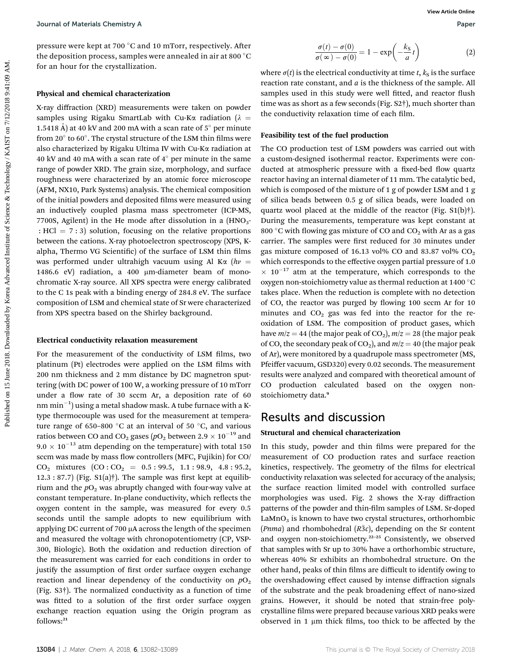pressure were kept at 700 °C and 10 mTorr, respectively. After the deposition process, samples were annealed in air at 800  $^{\circ}$ C for an hour for the crystallization.

#### Physical and chemical characterization

X-ray diffraction (XRD) measurements were taken on powder samples using Rigaku SmartLab with Cu-K $\alpha$  radiation ( $\lambda =$ 1.5418 Å) at 40 kV and 200 mA with a scan rate of  $5^{\circ}$  per minute from 20 $^{\circ}$  to 60 $^{\circ}$ . The crystal structure of the LSM thin films were also characterized by Rigaku Ultima IV with Cu-Ka radiation at 40 kV and 40 mA with a scan rate of  $4^{\circ}$  per minute in the same range of powder XRD. The grain size, morphology, and surface roughness were characterized by an atomic force microscope (AFM, NX10, Park Systems) analysis. The chemical composition of the initial powders and deposited films were measured using an inductively coupled plasma mass spectrometer (ICP-MS, 7700S, Agilent) in the He mode after dissolution in a  $(HNO<sub>3</sub> -$ : HCl =  $7:3$ ) solution, focusing on the relative proportions between the cations. X-ray photoelectron spectroscopy (XPS, Kalpha, Thermo VG Scientific) of the surface of LSM thin films was performed under ultrahigh vacuum using Al K $\alpha$  (h $\nu$  = 1486.6 eV) radiation, a 400 µm-diameter beam of monochromatic X-ray source. All XPS spectra were energy calibrated to the C 1s peak with a binding energy of 284.8 eV. The surface composition of LSM and chemical state of Sr were characterized from XPS spectra based on the Shirley background.

#### Electrical conductivity relaxation measurement

For the measurement of the conductivity of LSM films, two platinum (Pt) electrodes were applied on the LSM films with 200 nm thickness and 2 mm distance by DC magnetron sputtering (with DC power of 100 W, a working pressure of 10 mTorr under a flow rate of 30 sccm Ar, a deposition rate of 60 nm min $^{-1})$  using a metal shadow mask. A tube furnace with a Ktype thermocouple was used for the measurement at temperature range of 650–800  $^{\circ}$ C at an interval of 50  $^{\circ}$ C, and various ratios between CO and CO<sub>2</sub> gases ( $pO<sub>2</sub>$  between 2.9  $\times$  10<sup>-19</sup> and  $9.0 \times 10^{-13}$  atm depending on the temperature) with total 150 sccm was made by mass flow controllers (MFC, Fujikin) for CO/  $CO<sub>2</sub>$  mixtures  $(CO : CO<sub>2</sub> = 0.5 : 99.5, 1.1 : 98.9, 4.8 : 95.2,$  $12.3: 87.7$ ) (Fig.  $S1(a)$ †). The sample was first kept at equilibrium and the  $pO<sub>2</sub>$  was abruptly changed with four-way valve at constant temperature. In-plane conductivity, which reflects the oxygen content in the sample, was measured for every 0.5 seconds until the sample adopts to new equilibrium with applying DC current of 700  $\mu$ A across the length of the specimen and measured the voltage with chronopotentiometry (CP, VSP-300, Biologic). Both the oxidation and reduction direction of the measurement was carried for each conditions in order to justify the assumption of first order surface oxygen exchange reaction and linear dependency of the conductivity on  $pO_2$ (Fig. S3†). The normalized conductivity as a function of time was fitted to a solution of the first order surface oxygen exchange reaction equation using the Origin program as follows:<sup>21</sup>

$$
\frac{\sigma(t) - \sigma(0)}{\sigma(\infty) - \sigma(0)} = 1 - \exp\left(-\frac{k_{\rm S}}{a}t\right)
$$
 (2)

where  $\sigma(t)$  is the electrical conductivity at time t,  $k<sub>S</sub>$  is the surface reaction rate constant, and  $a$  is the thickness of the sample. All samples used in this study were well fitted, and reactor flush time was as short as a few seconds (Fig. S2†), much shorter than the conductivity relaxation time of each film.

#### Feasibility test of the fuel production

The CO production test of LSM powders was carried out with a custom-designed isothermal reactor. Experiments were conducted at atmospheric pressure with a fixed-bed flow quartz reactor having an internal diameter of 11 mm. The catalytic bed, which is composed of the mixture of 1 g of powder LSM and 1 g of silica beads between 0.5 g of silica beads, were loaded on quartz wool placed at the middle of the reactor (Fig. S1(b)†). During the measurements, temperature was kept constant at 800 °C with flowing gas mixture of CO and  $CO<sub>2</sub>$  with Ar as a gas carrier. The samples were first reduced for 30 minutes under gas mixture composed of 16.13 vol% CO and 83.87 vol%  $CO<sub>2</sub>$ which corresponds to the effective oxygen partial pressure of 1.0  $\times$  10<sup>-17</sup> atm at the temperature, which corresponds to the oxygen non-stoichiometry value as thermal reduction at 1400  $^{\circ}$ C takes place. When the reduction is complete with no detection of CO, the reactor was purged by flowing 100 sccm Ar for 10 minutes and  $CO<sub>2</sub>$  gas was fed into the reactor for the reoxidation of LSM. The composition of product gases, which have  $m/z = 44$  (the major peak of CO<sub>2</sub>),  $m/z = 28$  (the major peak of CO, the secondary peak of CO<sub>2</sub>), and  $m/z = 40$  (the major peak of Ar), were monitored by a quadrupole mass spectrometer (MS, Pfeiffer vacuum, GSD320) every 0.02 seconds. The measurement results were analyzed and compared with theoretical amount of CO production calculated based on the oxygen nonstoichiometry data.<sup>9</sup> Journal of Materials Chemistry A<br>
Preseure were began at  $\frac{1}{2}$  the expected by Korea Advanced by Considered by Considered by Korea Advanced By Considered by Korea Advanced By Considered at the expectation of the strat

### Results and discussion

#### Structural and chemical characterization

In this study, powder and thin films were prepared for the measurement of CO production rates and surface reaction kinetics, respectively. The geometry of the films for electrical conductivity relaxation was selected for accuracy of the analysis; the surface reaction limited model with controlled surface morphologies was used. Fig. 2 shows the X-ray diffraction patterns of the powder and thin-film samples of LSM. Sr-doped  $LaMnO<sub>3</sub>$  is known to have two crystal structures, orthorhombic (Pnma) and rhombohedral ( $R\bar{3}c$ ), depending on the Sr content and oxygen non-stoichiometry.<sup>22</sup>–<sup>25</sup> Consistently, we observed that samples with Sr up to 30% have a orthorhombic structure, whereas 40% Sr exhibits an rhombohedral structure. On the other hand, peaks of thin films are difficult to identify owing to the overshadowing effect caused by intense diffraction signals of the substrate and the peak broadening effect of nano-sized grains. However, it should be noted that strain-free polycrystalline films were prepared because various XRD peaks were observed in  $1 \mu m$  thick films, too thick to be affected by the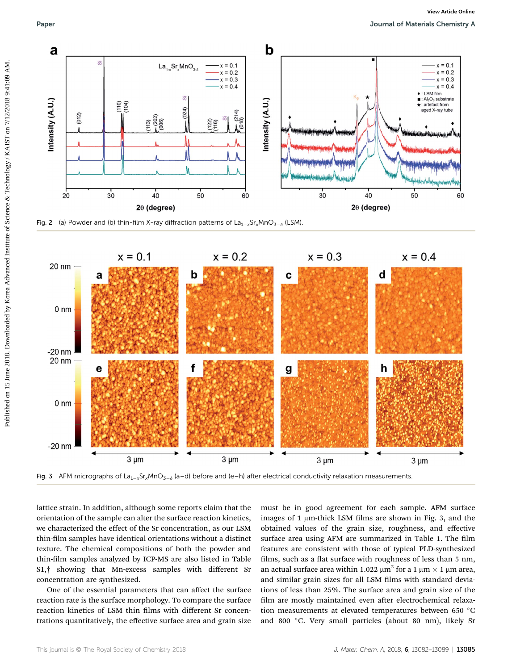

Fig. 2 (a) Powder and (b) thin-film X-ray diffraction patterns of  $La_{1-x}Sr_xMnO_{3-\delta}$  (LSM)



Fig. 3 AFM micrographs of La<sub>1-x</sub>Sr<sub>x</sub>MnO<sub>3-å</sub> (a–d) before and (e–h) after electrical conductivity relaxation measurements.

lattice strain. In addition, although some reports claim that the orientation of the sample can alter the surface reaction kinetics, we characterized the effect of the Sr concentration, as our LSM thin-film samples have identical orientations without a distinct texture. The chemical compositions of both the powder and thin-film samples analyzed by ICP-MS are also listed in Table S1,† showing that Mn-excess samples with different Sr concentration are synthesized.

One of the essential parameters that can affect the surface reaction rate is the surface morphology. To compare the surface reaction kinetics of LSM thin films with different Sr concentrations quantitatively, the effective surface area and grain size

must be in good agreement for each sample. AFM surface images of  $1 \mu$ m-thick LSM films are shown in Fig. 3, and the obtained values of the grain size, roughness, and effective surface area using AFM are summarized in Table 1. The film features are consistent with those of typical PLD-synthesized films, such as a flat surface with roughness of less than 5 nm, an actual surface area within 1.022  $\mu$ m<sup>2</sup> for a 1  $\mu$ m  $\times$  1  $\mu$ m area, and similar grain sizes for all LSM films with standard deviations of less than 25%. The surface area and grain size of the film are mostly maintained even after electrochemical relaxation measurements at elevated temperatures between 650 °C and 800 °C. Very small particles (about 80 nm), likely Sr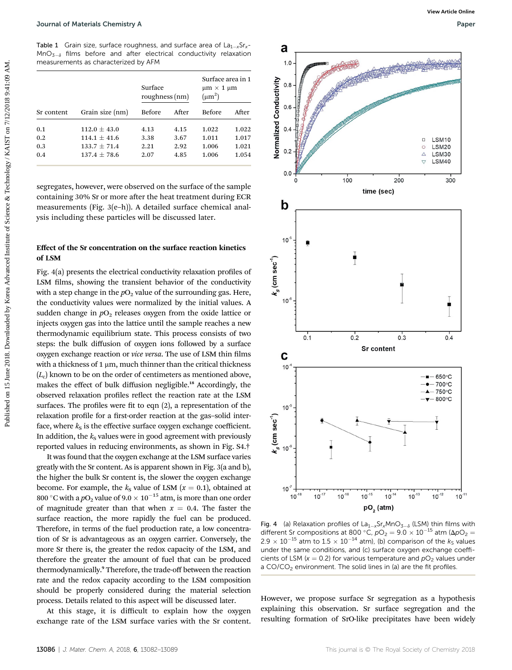Table 1 Grain size, surface roughness, and surface area of  $La<sub>1-x</sub>Sr<sub>x</sub>$ - $MnO_{3-\delta}$  films before and after electrical conductivity relaxation measurements as characterized by AFM

| Sr content | Grain size (nm)  | Surface<br>roughness (nm) |       | Surface area in 1<br>$\mu$ m $\times$ 1 $\mu$ m<br>$(\mu m^2)$ |       |
|------------|------------------|---------------------------|-------|----------------------------------------------------------------|-------|
|            |                  | <b>Before</b>             | After | <b>Before</b>                                                  | After |
| 0.1        | $112.0 + 43.0$   | 4.13                      | 4.15  | 1.022                                                          | 1.022 |
| 0.2        | $114.1 + 41.6$   | 3.38                      | 3.67  | 1.011                                                          | 1.017 |
| 0.3        | $133.7 + 71.4$   | 2.21                      | 2.92  | 1.006                                                          | 1.021 |
| 0.4        | $137.4 \pm 78.6$ | 2.07                      | 4.85  | 1.006                                                          | 1.054 |

segregates, however, were observed on the surface of the sample containing 30% Sr or more after the heat treatment during ECR measurements (Fig. 3(e–h)). A detailed surface chemical analysis including these particles will be discussed later.

#### Effect of the Sr concentration on the surface reaction kinetics of LSM

Fig. 4(a) presents the electrical conductivity relaxation profiles of LSM films, showing the transient behavior of the conductivity with a step change in the  $pO<sub>2</sub>$  value of the surrounding gas. Here, the conductivity values were normalized by the initial values. A sudden change in  $pO<sub>2</sub>$  releases oxygen from the oxide lattice or injects oxygen gas into the lattice until the sample reaches a new thermodynamic equilibrium state. This process consists of two steps: the bulk diffusion of oxygen ions followed by a surface oxygen exchange reaction or vice versa. The use of LSM thin films with a thickness of 1  $\mu$ m, much thinner than the critical thickness  $(L<sub>c</sub>)$  known to be on the order of centimeters as mentioned above, makes the effect of bulk diffusion negligible.<sup>18</sup> Accordingly, the observed relaxation profiles reflect the reaction rate at the LSM surfaces. The profiles were fit to eqn  $(2)$ , a representation of the relaxation profile for a first-order reaction at the gas-solid interface, where  $k<sub>S</sub>$  is the effective surface oxygen exchange coefficient. In addition, the  $k<sub>S</sub>$  values were in good agreement with previously reported values in reducing environments, as shown in Fig. S4.†

It was found that the oxygen exchange at the LSM surface varies greatly with the Sr content. As is apparent shown in Fig. 3(a and b), the higher the bulk Sr content is, the slower the oxygen exchange become. For example, the  $k<sub>S</sub>$  value of LSM ( $x = 0.1$ ), obtained at 800 °C with a  $pO_2$  value of 9.0  $\times$  10<sup>-15</sup> atm, is more than one order of magnitude greater than that when  $x = 0.4$ . The faster the surface reaction, the more rapidly the fuel can be produced. Therefore, in terms of the fuel production rate, a low concentration of Sr is advantageous as an oxygen carrier. Conversely, the more Sr there is, the greater the redox capacity of the LSM, and therefore the greater the amount of fuel that can be produced thermodynamically.<sup>9</sup> Therefore, the trade-off between the reaction rate and the redox capacity according to the LSM composition should be properly considered during the material selection process. Details related to this aspect will be discussed later.

At this stage, it is difficult to explain how the oxygen exchange rate of the LSM surface varies with the Sr content.



Fig. 4 (a) Relaxation profiles of  $La_{1-x}Sr_xMnO_{3-\delta}$  (LSM) thin films with different Sr compositions at 800 °C,  $pO_2 = 9.0 \times 10^{-15}$  atm ( $\Delta pO_2 =$  $2.9 \times 10^{-15}$  atm to  $1.5 \times 10^{-14}$  atm), (b) comparison of the ks values under the same conditions, and (c) surface oxygen exchange coefficients of LSM ( $x = 0.2$ ) for various temperature and  $pO<sub>2</sub>$  values under a CO/CO<sub>2</sub> environment. The solid lines in (a) are the fit profiles.

However, we propose surface Sr segregation as a hypothesis explaining this observation. Sr surface segregation and the resulting formation of SrO-like precipitates have been widely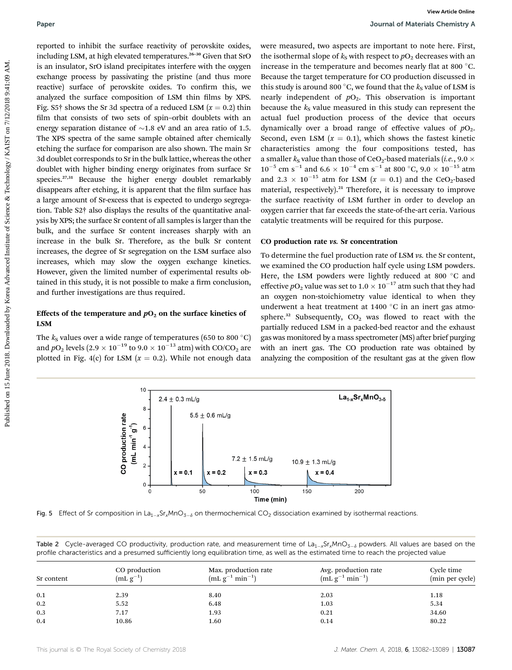reported to inhibit the surface reactivity of perovskite oxides, including LSM, at high elevated temperatures.<sup>26-30</sup> Given that SrO is an insulator, SrO island precipitates interfere with the oxygen exchange process by passivating the pristine (and thus more reactive) surface of perovskite oxides. To confirm this, we analyzed the surface composition of LSM thin films by XPS. Fig. S5† shows the Sr 3d spectra of a reduced LSM  $(x = 0.2)$  thin film that consists of two sets of spin-orbit doublets with an energy separation distance of  $\sim$ 1.8 eV and an area ratio of 1.5. The XPS spectra of the same sample obtained after chemically etching the surface for comparison are also shown. The main Sr 3d doublet corresponds to Sr in the bulk lattice, whereas the other doublet with higher binding energy originates from surface Sr species.<sup>27,31</sup> Because the higher energy doublet remarkably disappears after etching, it is apparent that the film surface has a large amount of Sr-excess that is expected to undergo segregation. Table S2† also displays the results of the quantitative analysis by XPS; the surface Sr content of all samples is larger than the bulk, and the surface Sr content increases sharply with an increase in the bulk Sr. Therefore, as the bulk Sr content increases, the degree of Sr segregation on the LSM surface also increases, which may slow the oxygen exchange kinetics. However, given the limited number of experimental results obtained in this study, it is not possible to make a firm conclusion, and further investigations are thus required. Paper<br>
Puper download based online and proposition on the system of Mathematics of Mathematics Constitute of the Definition of the Definition of the Definition of the Definition of Constitute of Constitute of Constitute o

### Effects of the temperature and  $pO<sub>2</sub>$  on the surface kinetics of LSM

The  $k<sub>S</sub>$  values over a wide range of temperatures (650 to 800 °C) and  $pO_2$  levels (2.9  $\times$  10<sup>-19</sup> to 9.0  $\times$  10<sup>-13</sup> atm) with CO/CO<sub>2</sub> are plotted in Fig. 4(c) for LSM ( $x = 0.2$ ). While not enough data

were measured, two aspects are important to note here. First, the isothermal slope of  $k<sub>S</sub>$  with respect to  $pO<sub>2</sub>$  decreases with an increase in the temperature and becomes nearly flat at 800 $^{\circ}$ C. Because the target temperature for CO production discussed in this study is around 800 °C, we found that the  $k<sub>S</sub>$  value of LSM is nearly independent of  $pO_2$ . This observation is important because the  $k<sub>S</sub>$  value measured in this study can represent the actual fuel production process of the device that occurs dynamically over a broad range of effective values of  $pO<sub>2</sub>$ . Second, even LSM  $(x = 0.1)$ , which shows the fastest kinetic characteristics among the four compositions tested, has a smaller  $k<sub>S</sub>$  value than those of CeO<sub>2</sub>-based materials (*i.e.*, 9.0  $\times$  $10^{-5}$  cm s $^{-1}$  and 6.6  $\times$   $10^{-4}$  cm s $^{-1}$  at 800 °C, 9.0  $\times$   $10^{-15}$  atm and 2.3  $\times$  10<sup>-15</sup> atm for LSM (x = 0.1) and the CeO<sub>2</sub>-based material, respectively). $21$  Therefore, it is necessary to improve the surface reactivity of LSM further in order to develop an oxygen carrier that far exceeds the state-of-the-art ceria. Various catalytic treatments will be required for this purpose.

#### CO production rate vs. Sr concentration

To determine the fuel production rate of LSM vs. the Sr content, we examined the CO production half cycle using LSM powders. Here, the LSM powders were lightly reduced at 800 °C and effective  $pO_2$  value was set to 1.0  $\times$  10<sup>-17</sup> atm such that they had an oxygen non-stoichiometry value identical to when they underwent a heat treatment at  $1400\text{ °C}$  in an inert gas atmosphere.<sup>32</sup> Subsequently,  $CO<sub>2</sub>$  was flowed to react with the partially reduced LSM in a packed-bed reactor and the exhaust gas was monitored by a mass spectrometer (MS) after brief purging with an inert gas. The CO production rate was obtained by analyzing the composition of the resultant gas at the given flow



Fig. 5 Effect of Sr composition in La<sub>1-x</sub>Sr<sub>x</sub>MnO<sub>3- $\delta$ </sub> on thermochemical CO<sub>2</sub> dissociation examined by isothermal reactions.

Table 2 Cycle-averaged CO productivity, production rate, and measurement time of  $La_{1-x}Sr_xMnO_{3-\delta}$  powders. All values are based on the profile characteristics and a presumed sufficiently long equilibration time, as well as the estimated time to reach the projected value

| Sr content | CO production<br>$(mL g^{-1})$ | Max. production rate<br>$(mL g^{-1} min^{-1})$ | Avg. production rate<br>$(mL g^{-1} min^{-1})$ | Cycle time<br>(min per cycle) |
|------------|--------------------------------|------------------------------------------------|------------------------------------------------|-------------------------------|
| 0.1        | 2.39                           | 8.40                                           | 2.03                                           | 1.18                          |
| 0.2        | 5.52                           | 6.48                                           | 1.03                                           | 5.34                          |
| 0.3        | 7.17                           | 1.93                                           | 0.21                                           | 34.60                         |
| 0.4        | 10.86                          | 1.60                                           | 0.14                                           | 80.22                         |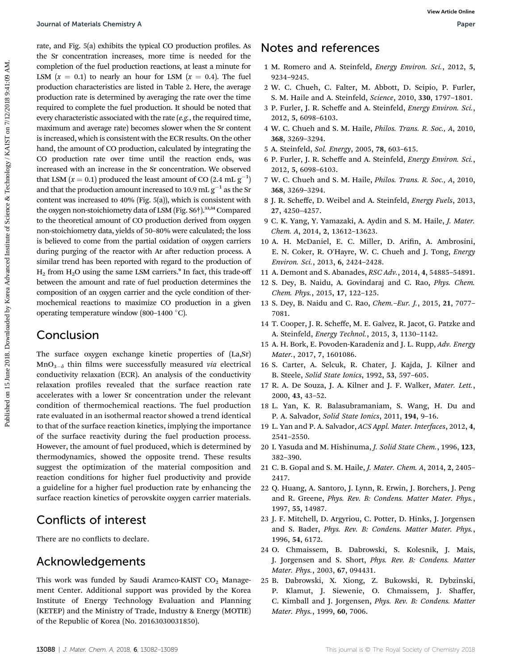rate, and Fig. 5(a) exhibits the typical CO production profiles. As the Sr concentration increases, more time is needed for the completion of the fuel production reactions, at least a minute for LSM  $(x = 0.1)$  to nearly an hour for LSM  $(x = 0.4)$ . The fuel production characteristics are listed in Table 2. Here, the average production rate is determined by averaging the rate over the time required to complete the fuel production. It should be noted that every characteristic associated with the rate (e.g., the required time, maximum and average rate) becomes slower when the Sr content is increased, which is consistent with the ECR results. On the other hand, the amount of CO production, calculated by integrating the CO production rate over time until the reaction ends, was increased with an increase in the Sr concentration. We observed that LSM  $(x = 0.1)$  produced the least amount of CO  $(2.4 \text{ mL g}^{-1})$ and that the production amount increased to 10.9 mL  $g^{-1}$  as the Sr content was increased to 40% (Fig. 5(a)), which is consistent with the oxygen non-stoichiometry data of LSM (Fig. S6<sup>†</sup>).<sup>33,34</sup> Compared to the theoretical amount of CO production derived from oxygen non-stoichiometry data, yields of 50–80% were calculated; the loss is believed to come from the partial oxidation of oxygen carriers during purging of the reactor with Ar after reduction process. A similar trend has been reported with regard to the production of  $H_2$  from  $H_2O$  using the same LSM carriers.<sup>9</sup> In fact, this trade-off between the amount and rate of fuel production determines the composition of an oxygen carrier and the cycle condition of thermochemical reactions to maximize CO production in a given operating temperature window (800-1400 °C). Dourant of Metanistic Chemitry An<br>
meta. encil probable the priori C.O production profiles. A **NOCES and references**<br> **Population of Fig. 2018.** The control of the Control of Technology 2018. Due to the Control of Control

### Conclusion

The surface oxygen exchange kinetic properties of (La,Sr)  $MnO<sub>3-\delta</sub>$  thin films were successfully measured via electrical conductivity relaxation (ECR). An analysis of the conductivity relaxation profiles revealed that the surface reaction rate accelerates with a lower Sr concentration under the relevant condition of thermochemical reactions. The fuel production rate evaluated in an isothermal reactor showed a trend identical to that of the surface reaction kinetics, implying the importance of the surface reactivity during the fuel production process. However, the amount of fuel produced, which is determined by thermodynamics, showed the opposite trend. These results suggest the optimization of the material composition and reaction conditions for higher fuel productivity and provide a guideline for a higher fuel production rate by enhancing the surface reaction kinetics of perovskite oxygen carrier materials.

### Conflicts of interest

There are no conflicts to declare.

### Acknowledgements

This work was funded by Saudi Aramco-KAIST  $CO<sub>2</sub>$  Management Center. Additional support was provided by the Korea Institute of Energy Technology Evaluation and Planning (KETEP) and the Ministry of Trade, Industry & Energy (MOTIE) of the Republic of Korea (No. 20163030031850).

### Notes and references

- 1 M. Romero and A. Steinfeld, Energy Environ. Sci., 2012, 5, 9234–9245.
- 2 W. C. Chueh, C. Falter, M. Abbott, D. Scipio, P. Furler, S. M. Haile and A. Steinfeld, Science, 2010, 330, 1797–1801.
- 3 P. Furler, J. R. Scheffe and A. Steinfeld, Energy Environ. Sci., 2012, 5, 6098–6103.
- 4 W. C. Chueh and S. M. Haile, Philos. Trans. R. Soc., A, 2010, 368, 3269–3294.
- 5 A. Steinfeld, Sol. Energy, 2005, 78, 603–615.
- 6 P. Furler, J. R. Scheffe and A. Steinfeld, Energy Environ. Sci., 2012, 5, 6098–6103.
- 7 W. C. Chueh and S. M. Haile, Philos. Trans. R. Soc., A, 2010, 368, 3269–3294.
- 8 J. R. Scheffe, D. Weibel and A. Steinfeld, Energy Fuels, 2013, 27, 4250–4257.
- 9 C. K. Yang, Y. Yamazaki, A. Aydin and S. M. Haile, J. Mater. Chem. A, 2014, 2, 13612–13623.
- 10 A. H. McDaniel, E. C. Miller, D. Arifin, A. Ambrosini, E. N. Coker, R. O'Hayre, W. C. Chueh and J. Tong, Energy Environ. Sci., 2013, 6, 2424–2428.
- 11 A. Demont and S. Abanades, RSC Adv., 2014, 4, 54885–54891.
- 12 S. Dey, B. Naidu, A. Govindaraj and C. Rao, Phys. Chem. Chem. Phys., 2015, 17, 122–125.
- 13 S. Dey, B. Naidu and C. Rao, Chem.–Eur. J., 2015, 21, 7077– 7081.
- 14 T. Cooper, J. R. Scheffe, M. E. Galvez, R. Jacot, G. Patzke and A. Steinfeld, Energy Technol., 2015, 3, 1130–1142.
- 15 A. H. Bork, E. Povoden-Karadeniz and J. L. Rupp, Adv. Energy Mater., 2017, 7, 1601086.
- 16 S. Carter, A. Selcuk, R. Chater, J. Kajda, J. Kilner and B. Steele, Solid State Ionics, 1992, 53, 597–605.
- 17 R. A. De Souza, J. A. Kilner and J. F. Walker, Mater. Lett., 2000, 43, 43–52.
- 18 L. Yan, K. R. Balasubramaniam, S. Wang, H. Du and P. A. Salvador, Solid State Ionics, 2011, 194, 9–16.
- 19 L. Yan and P. A. Salvador, ACS Appl. Mater. Interfaces, 2012, 4, 2541–2550.
- 20 I. Yasuda and M. Hishinuma, J. Solid State Chem., 1996, 123, 382–390.
- 21 C. B. Gopal and S. M. Haile, J. Mater. Chem. A, 2014, 2, 2405– 2417.
- 22 Q. Huang, A. Santoro, J. Lynn, R. Erwin, J. Borchers, J. Peng and R. Greene, Phys. Rev. B: Condens. Matter Mater. Phys., 1997, 55, 14987.
- 23 J. F. Mitchell, D. Argyriou, C. Potter, D. Hinks, J. Jorgensen and S. Bader, Phys. Rev. B: Condens. Matter Mater. Phys., 1996, 54, 6172.
- 24 O. Chmaissem, B. Dabrowski, S. Kolesnik, J. Mais, J. Jorgensen and S. Short, Phys. Rev. B: Condens. Matter Mater. Phys., 2003, 67, 094431.
- 25 B. Dabrowski, X. Xiong, Z. Bukowski, R. Dybzinski, P. Klamut, J. Siewenie, O. Chmaissem, J. Shaffer, C. Kimball and J. Jorgensen, Phys. Rev. B: Condens. Matter Mater. Phys., 1999, 60, 7006.